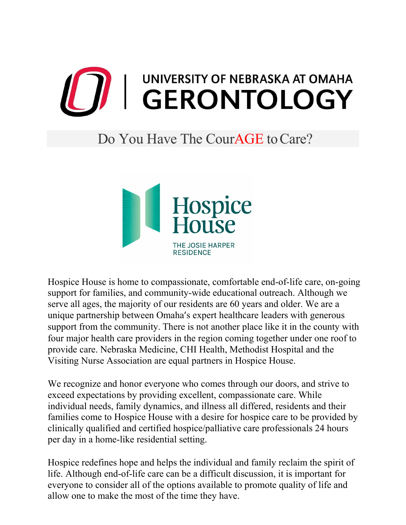

## Do You Have The Cour**AGE** to Care?



Hospice House is home to compassionate, comfortable end-of-life care, on-going support for families, and community-wide educational outreach. Although we serve all ages, the majority of our residents are 60 years and older. We are a unique partnership between Omaha's expert healthcare leaders with generous support from the community. There is not another place like it in the county with four major health care providers in the region coming together under one roof to provide care. Nebraska Medicine, CHI Health, Methodist Hospital and the Visiting Nurse Association are equal partners in Hospice House.

We recognize and honor everyone who comes through our doors, and strive to exceed expectations by providing excellent, compassionate care. While individual needs, family dynamics, and illness all differed, residents and their families come to Hospice House with a desire for hospice care to be provided by clinically qualified and certified hospice/palliative care professionals 24 hours per day in a home-like residential setting.

Hospice redefines hope and helps the individual and family reclaim the spirit of life. Although end-of-life care can be a difficult discussion, it is important for everyone to consider all of the options available to promote quality of life and allow one to make the most of the time they have.